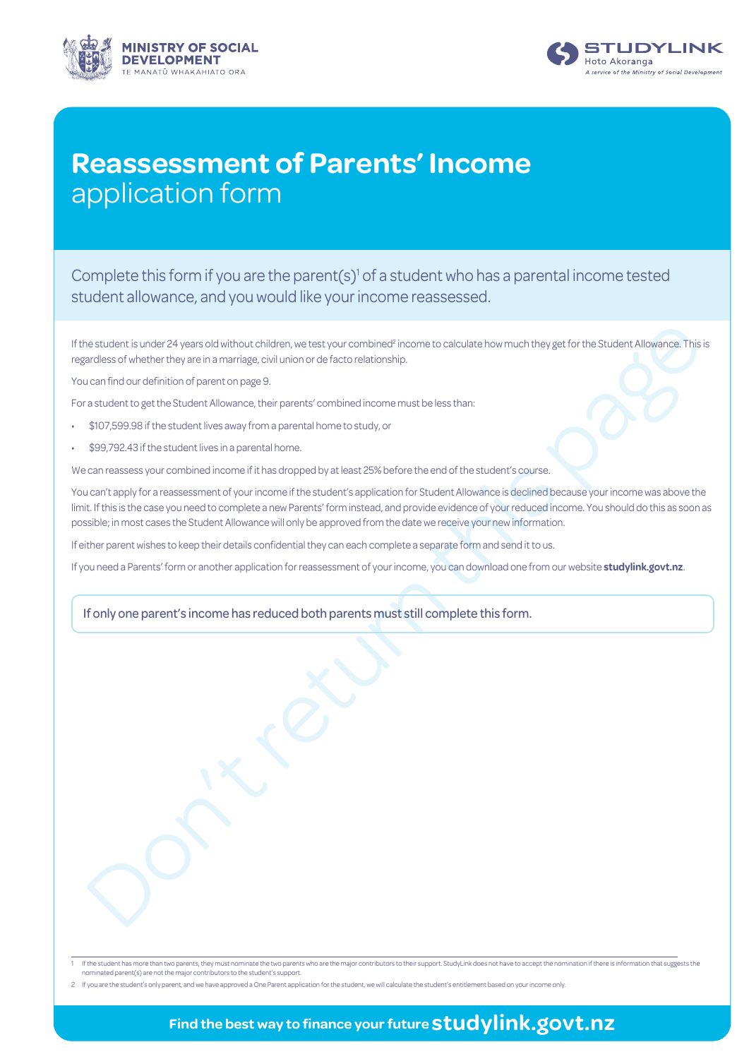



# **Reassessment of Parents' Income** application form

Complete this form if you are the parent(s)<sup>1</sup> of a student who has a parental income tested student allowance, and you would like your income reassessed.

If the student is under 24 years old without children, we test your combined<sup>2</sup> income to calculate how much they get for the Student Allowance. This is regardless of whether they are in a marriage, civil union or de facto relationship.

You can find our definition of parent on page 9.

For a student to get the Student Allowance, their parents' combined income must be less than:

- \$107,599.98 if the student lives away from a parental home to study, or
- \$99,792.43 if the student lives in a parental home.

We can reassess your combined income if it has dropped by at least 25% before the end of the student's course.

estudentis under 24 years old without onliden, we test your component income to calculate how much they get for the SL deter Alexander The case of what the page of the SL deter Alexander The Case of the SL deter Alexander You can't apply for a reassessment of your income if the student's application for Student Allowance is declined because your income was above the limit. If this is the case you need to complete a new Parents' form instead, and provide evidence of your reduced income. You should do this as soon as possible; in most cases the Student Allowance will only be approved from the date we receive your new information.

If either parent wishes to keep their details confidential they can each complete a separate form and send it to us.

If you need a Parents' form or another application for reassessment of your income, you can download one from our website **studylink.govt.nz**.

If only one parent's income has reduced both parents must still complete this form.

| 1 If the student has more than two parents, they must nominate the two parents who are the major contributors to their support. StudyLink does not have to accept the nomination if there is information that suggests the |
|----------------------------------------------------------------------------------------------------------------------------------------------------------------------------------------------------------------------------|
| nominated parent(s) are not the major contributors to the student's support.                                                                                                                                               |

2 If you are the student's only parent, and we have approved a One Parent application for the student, we will calculate the student's entitlement based on your income only.

## **Find the best way to finance your future studylink.govt.nz**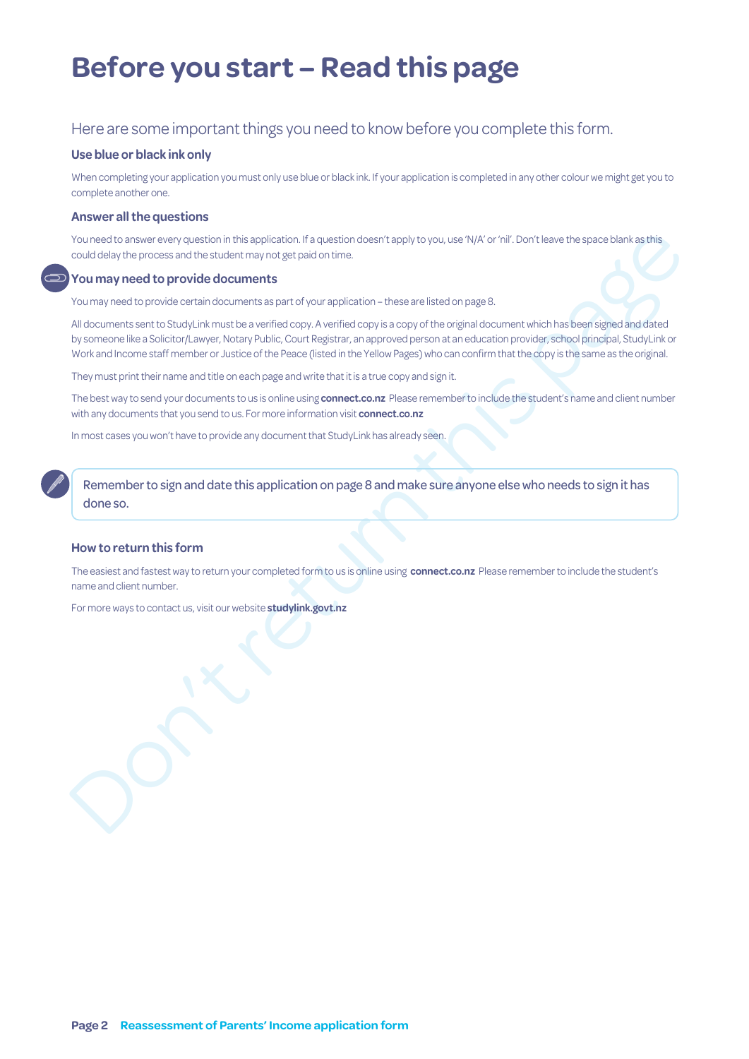# **Before you start – Read this page**

### Here are some important things you need to know before you complete this form.

#### **Use blue or black ink only**

When completing your application you must only use blue or black ink. If your application is completed in any other colour we might get you to complete another one.

#### **Answer all the questions**

You need to answer every question in this application. If a question doesn't apply to you, use 'N/A' or 'nil'. Don't leave the space blank as this could delay the process and the student may not get paid on time.

#### **You may need to provide documents**

You may need to provide certain documents as part of your application – these are listed on page 8.

You remain on the process and the external the application. If a pursision determined in applying way, use N(X) in "hill Continented procedure in the properties of the properties of the properties of the properties of the All documents sent to StudyLink must be a verified copy. A verified copy is a copy of the original document which has been signed and dated by someone like a Solicitor/Lawyer, Notary Public, Court Registrar, an approved person at an education provider, school principal, StudyLink or Work and Income staff member or Justice of the Peace (listed in the Yellow Pages) who can confirm that the copy is the same as the original.

They must print their name and title on each page and write that it is a true copy and sign it.

The best way to send your documents to us is online using **connect.co.nz** Please remember to include the student's name and client number with any documents that you send to us. For more information visit **connect.co.nz**

In most cases you won't have to provide any document that StudyLink has already seen.

Remember to sign and date this application on page 8 and make sure anyone else who needs to sign it has done so.

#### **How to return this form**

The easiest and fastest way to return your completed form to us is online using **connect.co.nz** Please remember to include the student's name and client number.

For more ways to contact us, visit our website **studylink.govt.nz**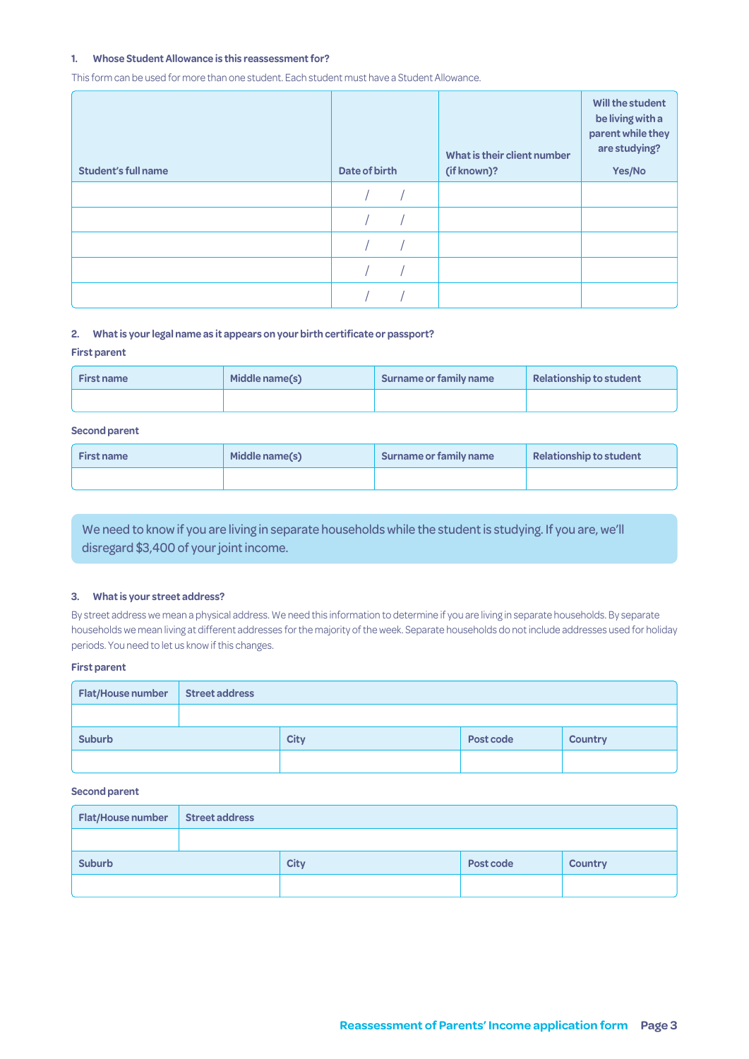#### **1. Whose Student Allowance is this reassessment for?**

This form can be used for more than one student. Each student must have a Student Allowance.

| <b>Student's full name</b> | Date of birth | What is their client number<br>(if known)? | Will the student<br>be living with a<br>parent while they<br>are studying?<br>Yes/No |
|----------------------------|---------------|--------------------------------------------|--------------------------------------------------------------------------------------|
|                            |               |                                            |                                                                                      |
|                            |               |                                            |                                                                                      |
|                            |               |                                            |                                                                                      |
|                            |               |                                            |                                                                                      |
|                            |               |                                            |                                                                                      |

#### **2. What is your legal name as it appears on your birth certificate or passport?**

#### **First parent**

| Middle name(s)<br><b>First name</b> |  | Surname or family name | <b>Relationship to student</b> |  |
|-------------------------------------|--|------------------------|--------------------------------|--|
|                                     |  |                        |                                |  |

#### **Second parent**

| Middle name(s)<br><b>First name</b> |  | Surname or family name | Relationship to student |  |
|-------------------------------------|--|------------------------|-------------------------|--|
|                                     |  |                        |                         |  |

We need to know if you are living in separate households while the student is studying. If you are, we'll disregard \$3,400 of your joint income.

#### **3. What is your street address?**

By street address we mean a physical address. We need this information to determine if you are living in separate households. By separate households we mean living at different addresses for the majority of the week. Separate households do not include addresses used for holiday periods. You need to let us know if this changes.

#### **First parent**

| <b>Flat/House number</b> | <b>Street address</b> |             |           |                |  |  |
|--------------------------|-----------------------|-------------|-----------|----------------|--|--|
|                          |                       |             |           |                |  |  |
| <b>Suburb</b>            |                       | <b>City</b> | Post code | <b>Country</b> |  |  |
|                          |                       |             |           |                |  |  |

#### **Second parent**

| Flat/House number | <b>Street address</b> |             |           |                |  |  |  |
|-------------------|-----------------------|-------------|-----------|----------------|--|--|--|
|                   |                       |             |           |                |  |  |  |
| <b>Suburb</b>     |                       | <b>City</b> | Post code | <b>Country</b> |  |  |  |
|                   |                       |             |           |                |  |  |  |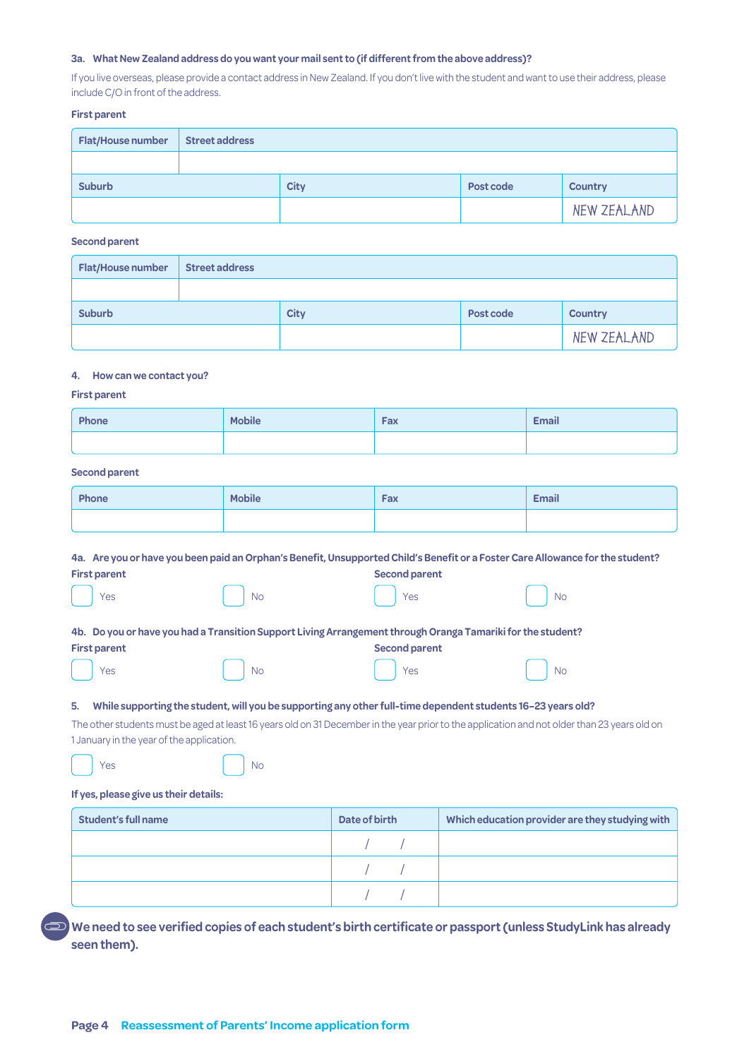#### **3a. What New Zealand address do you want your mail sent to (if different from the above address)?**

If you live overseas, please provide a contact address in New Zealand. If you don't live with the student and want to use their address, please include C/O in front of the address.

#### **First parent**

| <b>Flat/House number</b> | <b>Street address</b> |             |           |                |  |  |  |
|--------------------------|-----------------------|-------------|-----------|----------------|--|--|--|
|                          |                       |             |           |                |  |  |  |
| <b>Suburb</b>            |                       | <b>City</b> | Post code | <b>Country</b> |  |  |  |
|                          |                       |             |           | NEW ZEALAND    |  |  |  |

#### **Second parent**

| <b>Flat/House number</b> | <b>Street address</b> |             |           |                |  |  |
|--------------------------|-----------------------|-------------|-----------|----------------|--|--|
|                          |                       |             |           |                |  |  |
| <b>Suburb</b>            |                       | <b>City</b> | Post code | <b>Country</b> |  |  |
|                          |                       |             |           | NEW ZEALAND    |  |  |

#### **4. How can we contact you?**

#### **First parent**

| Phone | <b>Mobile</b> | Fax | <b>Email</b> |
|-------|---------------|-----|--------------|
|       |               |     |              |

#### **Second parent**

| <b>Phone</b> | <b>Mobile</b> | Fax | <b>Email</b> |
|--------------|---------------|-----|--------------|
|              |               |     |              |

|                                                                                                             | 4a. Are you or have you been paid an Orphan's Benefit, Unsupported Child's Benefit or a Foster Care Allowance for the student? |                      |                             |  |  |
|-------------------------------------------------------------------------------------------------------------|--------------------------------------------------------------------------------------------------------------------------------|----------------------|-----------------------------|--|--|
| <b>First parent</b>                                                                                         |                                                                                                                                | <b>Second parent</b> |                             |  |  |
| $ $ Yes                                                                                                     | No                                                                                                                             | Yes                  | No.                         |  |  |
| 4b. Do you or have you had a Transition Support Living Arrangement through Oranga Tamariki for the student? |                                                                                                                                |                      |                             |  |  |
| <b>First parent</b>                                                                                         |                                                                                                                                | <b>Second parent</b> |                             |  |  |
| Yes                                                                                                         | No                                                                                                                             | Yes                  | $\overline{\phantom{a}}$ No |  |  |
|                                                                                                             |                                                                                                                                |                      |                             |  |  |

#### **5. While supporting the student, will you be supporting any other full-time dependent students 16–23 years old?**

The other students must be aged at least 16 years old on 31 December in the year prior to the application and not older than 23 years old on 1 January in the year of the application.

| Yes |  | $\overline{\phantom{a}}$ No |
|-----|--|-----------------------------|
|-----|--|-----------------------------|

#### **If yes, please give us their details:**

| Student's full name | Date of birth | Which education provider are they studying with |
|---------------------|---------------|-------------------------------------------------|
|                     |               |                                                 |
|                     |               |                                                 |
|                     |               |                                                 |

**We need to see verified copies of each student's birth certificate or passport (unless StudyLink has already seen them).**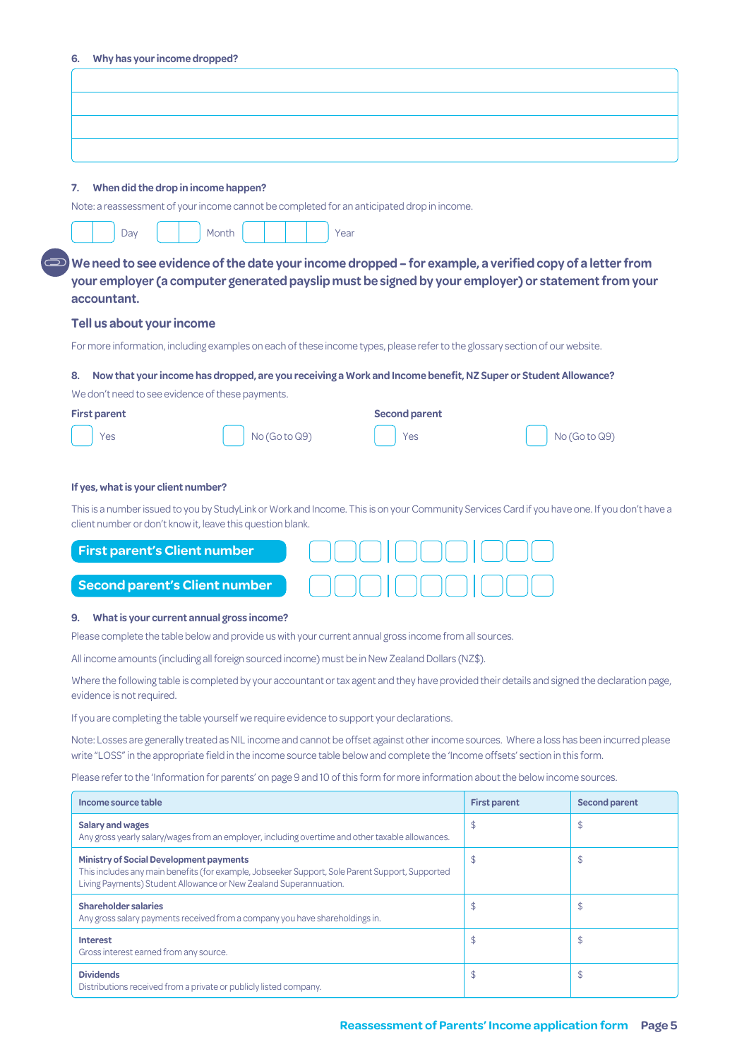| When did the drop in income happen?<br>7.                                                                                                                                                                                                                                   |                     |                                                                                                                                              |
|-----------------------------------------------------------------------------------------------------------------------------------------------------------------------------------------------------------------------------------------------------------------------------|---------------------|----------------------------------------------------------------------------------------------------------------------------------------------|
| Note: a reassessment of your income cannot be completed for an anticipated drop in income.                                                                                                                                                                                  |                     |                                                                                                                                              |
| Day<br>Month<br>Year                                                                                                                                                                                                                                                        |                     |                                                                                                                                              |
|                                                                                                                                                                                                                                                                             |                     |                                                                                                                                              |
| We need to see evidence of the date your income dropped – for example, a verified copy of a letter from<br>your employer (a computer generated payslip must be signed by your employer) or statement from your                                                              |                     |                                                                                                                                              |
| accountant.                                                                                                                                                                                                                                                                 |                     |                                                                                                                                              |
| Tell us about your income                                                                                                                                                                                                                                                   |                     |                                                                                                                                              |
| For more information, including examples on each of these income types, please refer to the glossary section of our website.                                                                                                                                                |                     |                                                                                                                                              |
| Now that your income has dropped, are you receiving a Work and Income benefit, NZ Super or Student Allowance?<br>8.                                                                                                                                                         |                     |                                                                                                                                              |
| We don't need to see evidence of these payments.                                                                                                                                                                                                                            |                     |                                                                                                                                              |
| <b>Second parent</b><br><b>First parent</b>                                                                                                                                                                                                                                 |                     |                                                                                                                                              |
| No (Go to Q9)<br>Yes<br>Yes                                                                                                                                                                                                                                                 |                     | No (Go to Q9)                                                                                                                                |
| client number or don't know it, leave this question blank.                                                                                                                                                                                                                  |                     | This is a number issued to you by StudyLink or Work and Income. This is on your Community Services Card if you have one. If you don't have a |
| <b>First parent's Client number</b>                                                                                                                                                                                                                                         |                     |                                                                                                                                              |
| <b>Second parent's Client number</b>                                                                                                                                                                                                                                        |                     |                                                                                                                                              |
| What is your current annual gross income?<br>9.                                                                                                                                                                                                                             |                     |                                                                                                                                              |
| Please complete the table below and provide us with your current annual gross income from all sources.                                                                                                                                                                      |                     |                                                                                                                                              |
| All income amounts (including all foreign sourced income) must be in New Zealand Dollars (NZ\$).                                                                                                                                                                            |                     |                                                                                                                                              |
| Where the following table is completed by your accountant or tax agent and they have provided their details and signed the declaration page,<br>evidence is not required.                                                                                                   |                     |                                                                                                                                              |
| If you are completing the table yourself we require evidence to support your declarations.                                                                                                                                                                                  |                     |                                                                                                                                              |
| Note: Losses are generally treated as NIL income and cannot be offset against other income sources. Where a loss has been incurred please<br>write "LOSS" in the appropriate field in the income source table below and complete the 'Income offsets' section in this form. |                     |                                                                                                                                              |
| Please refer to the 'Information for parents' on page 9 and 10 of this form for more information about the below income sources.                                                                                                                                            |                     |                                                                                                                                              |
| Income source table                                                                                                                                                                                                                                                         | <b>First parent</b> | <b>Second parent</b>                                                                                                                         |
| <b>Salary and wages</b><br>Any gross yearly salary/wages from an employer, including overtime and other taxable allowances.                                                                                                                                                 | \$                  | \$                                                                                                                                           |
| <b>Ministry of Social Development payments</b><br>This includes any main benefits (for example, Jobseeker Support, Sole Parent Support, Supported<br>Living Payments) Student Allowance or New Zealand Superannuation.                                                      | $\frac{1}{2}$       | \$                                                                                                                                           |
| <b>Shareholder salaries</b><br>Any gross salary payments received from a company you have shareholdings in.                                                                                                                                                                 | \$                  | \$                                                                                                                                           |

**Dividends**

Distributions received from a private or publicly listed company.

 $\updownarrow$   $\updownarrow$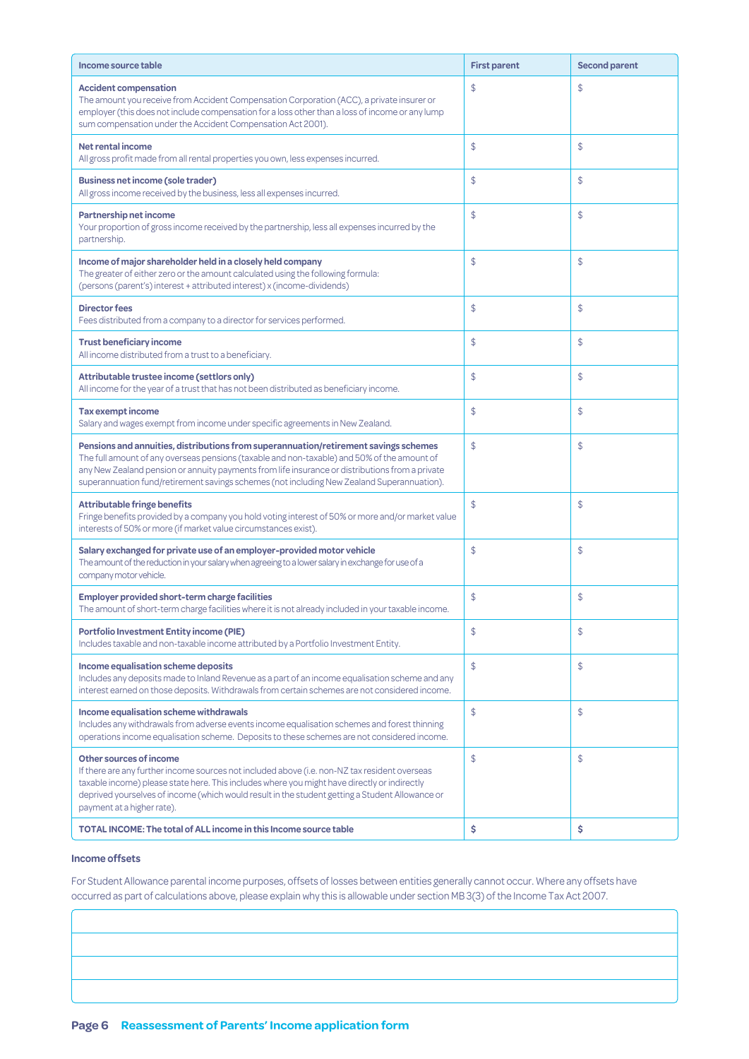| Income source table                                                                                                                                                                                                                                                                                                                                                                  | <b>First parent</b> | <b>Second parent</b> |
|--------------------------------------------------------------------------------------------------------------------------------------------------------------------------------------------------------------------------------------------------------------------------------------------------------------------------------------------------------------------------------------|---------------------|----------------------|
| <b>Accident compensation</b><br>The amount you receive from Accident Compensation Corporation (ACC), a private insurer or<br>employer (this does not include compensation for a loss other than a loss of income or any lump<br>sum compensation under the Accident Compensation Act 2001).                                                                                          | \$                  | \$                   |
| Net rental income<br>All gross profit made from all rental properties you own, less expenses incurred.                                                                                                                                                                                                                                                                               | $\mathfrak{S}$      | \$                   |
| <b>Business net income (sole trader)</b><br>All gross income received by the business, less all expenses incurred.                                                                                                                                                                                                                                                                   | \$                  | \$                   |
| Partnership net income<br>Your proportion of gross income received by the partnership, less all expenses incurred by the<br>partnership.                                                                                                                                                                                                                                             | $\mathsf{\$}$       | \$                   |
| Income of major shareholder held in a closely held company<br>The greater of either zero or the amount calculated using the following formula:<br>(persons (parent's) interest + attributed interest) x (income-dividends)                                                                                                                                                           | $\mathsf{\$}$       | \$                   |
| <b>Director fees</b><br>Fees distributed from a company to a director for services performed.                                                                                                                                                                                                                                                                                        | $\frac{1}{2}$       | \$                   |
| <b>Trust beneficiary income</b><br>All income distributed from a trust to a beneficiary.                                                                                                                                                                                                                                                                                             | $\mathfrak{S}$      | \$                   |
| Attributable trustee income (settlors only)<br>All income for the year of a trust that has not been distributed as beneficiary income.                                                                                                                                                                                                                                               | \$                  | \$                   |
| <b>Tax exempt income</b><br>Salary and wages exempt from income under specific agreements in New Zealand.                                                                                                                                                                                                                                                                            | $\mathsf{\$}$       | \$                   |
| Pensions and annuities, distributions from superannuation/retirement savings schemes<br>The full amount of any overseas pensions (taxable and non-taxable) and 50% of the amount of<br>any New Zealand pension or annuity payments from life insurance or distributions from a private<br>superannuation fund/retirement savings schemes (not including New Zealand Superannuation). | \$                  | \$                   |
| <b>Attributable fringe benefits</b><br>Fringe benefits provided by a company you hold voting interest of 50% or more and/or market value<br>interests of 50% or more (if market value circumstances exist).                                                                                                                                                                          | $\mathfrak{S}$      | \$                   |
| Salary exchanged for private use of an employer-provided motor vehicle<br>The amount of the reduction in your salary when agreeing to a lower salary in exchange for use of a<br>company motor vehicle.                                                                                                                                                                              | $\frac{1}{2}$       | \$                   |
| <b>Employer provided short-term charge facilities</b><br>The amount of short-term charge facilities where it is not already included in your taxable income.                                                                                                                                                                                                                         | \$                  | \$                   |
| <b>Portfolio Investment Entity income (PIE)</b><br>Includes taxable and non-taxable income attributed by a Portfolio Investment Entity.                                                                                                                                                                                                                                              | \$                  | \$                   |
| Income equalisation scheme deposits<br>Includes any deposits made to Inland Revenue as a part of an income equalisation scheme and any<br>interest earned on those deposits. Withdrawals from certain schemes are not considered income.                                                                                                                                             | \$                  | \$                   |
| Income equalisation scheme withdrawals<br>Includes any withdrawals from adverse events income equalisation schemes and forest thinning<br>operations income equalisation scheme. Deposits to these schemes are not considered income.                                                                                                                                                | \$                  | \$                   |
| Other sources of income<br>If there are any further income sources not included above (i.e. non-NZ tax resident overseas<br>taxable income) please state here. This includes where you might have directly or indirectly<br>deprived yourselves of income (which would result in the student getting a Student Allowance or<br>payment at a higher rate).                            | \$                  | \$                   |
| <b>TOTAL INCOME: The total of ALL income in this Income source table</b>                                                                                                                                                                                                                                                                                                             | \$                  | \$                   |

#### **Income offsets**

For Student Allowance parental income purposes, offsets of losses between entities generally cannot occur. Where any offsets have occurred as part of calculations above, please explain why this is allowable under section MB 3(3) of the Income Tax Act 2007.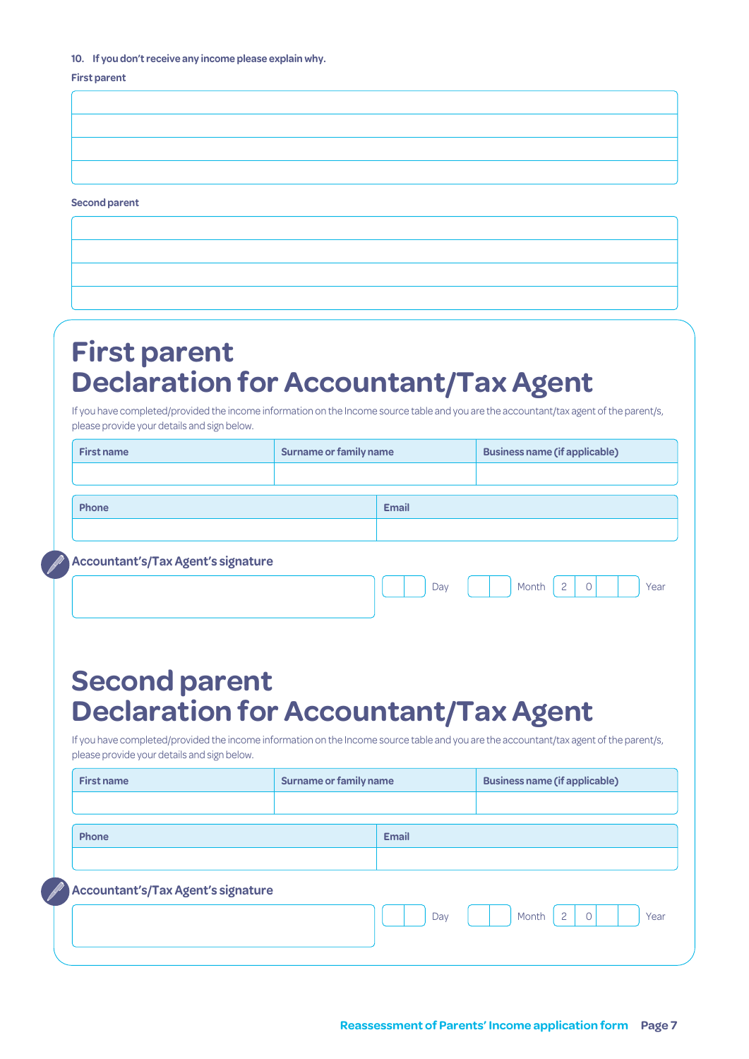#### **10. If you don't receive any income please explain why.**

#### **First parent**

**Second parent**

# **First parent Declaration for Accountant/Tax Agent**

If you have completed/provided the income information on the Income source table and you are the accountant/tax agent of the parent/s, please provide your details and sign below.

| <b>First name</b>                                                                                                                                                                     | <b>Surname or family name</b> |     | <b>Business name (if applicable)</b>        |  |  |
|---------------------------------------------------------------------------------------------------------------------------------------------------------------------------------------|-------------------------------|-----|---------------------------------------------|--|--|
|                                                                                                                                                                                       |                               |     |                                             |  |  |
| Phone                                                                                                                                                                                 | <b>Email</b>                  |     |                                             |  |  |
|                                                                                                                                                                                       |                               |     |                                             |  |  |
| <b>Accountant's/Tax Agent's signature</b>                                                                                                                                             |                               |     |                                             |  |  |
|                                                                                                                                                                                       |                               | Day | $\overline{c}$<br>Month<br>$\Omega$<br>Year |  |  |
|                                                                                                                                                                                       |                               |     |                                             |  |  |
|                                                                                                                                                                                       |                               |     |                                             |  |  |
| <b>Second parent</b>                                                                                                                                                                  |                               |     |                                             |  |  |
| <b>Declaration for Accountant/Tax Agent</b>                                                                                                                                           |                               |     |                                             |  |  |
| If you have completed/provided the income information on the Income source table and you are the accountant/tax agent of the parent/s,<br>please provide your details and sign below. |                               |     |                                             |  |  |
| <b>First name</b>                                                                                                                                                                     | <b>Surname or family name</b> |     | <b>Business name (if applicable)</b>        |  |  |
|                                                                                                                                                                                       |                               |     |                                             |  |  |
| Phone                                                                                                                                                                                 | <b>Email</b>                  |     |                                             |  |  |
|                                                                                                                                                                                       |                               |     |                                             |  |  |
| <b>Accountant's/Tax Agent's signature</b>                                                                                                                                             |                               |     |                                             |  |  |
|                                                                                                                                                                                       |                               | Day | $\overline{c}$<br>Month<br>0<br>Year        |  |  |
|                                                                                                                                                                                       |                               |     |                                             |  |  |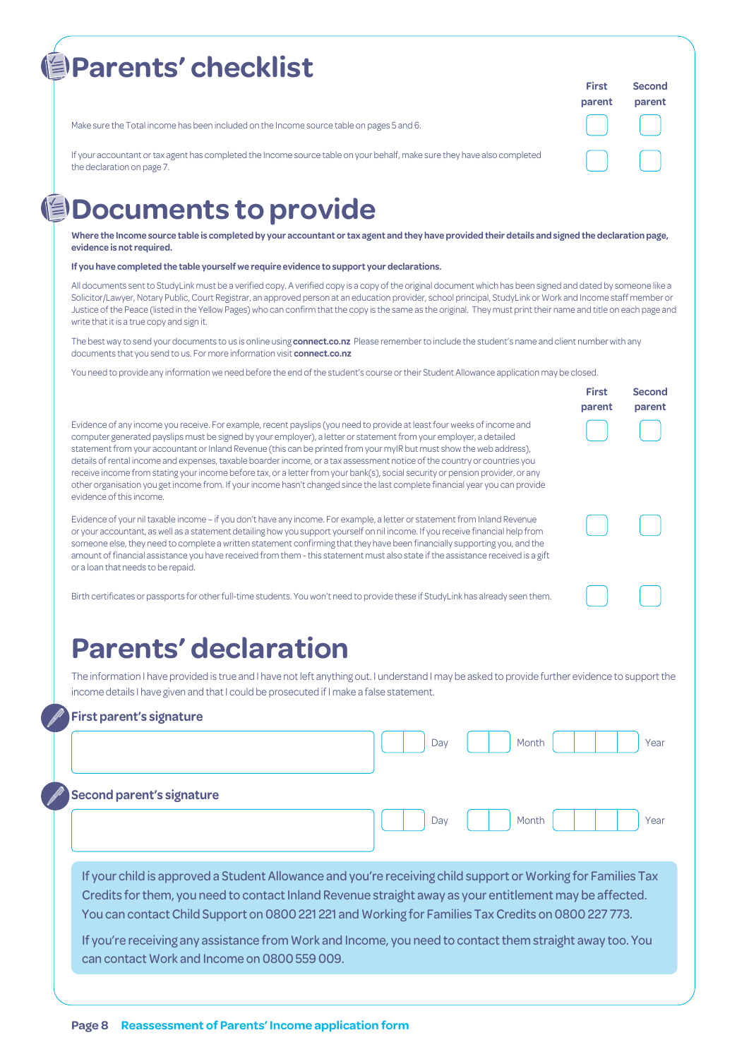| <b>Parents' checklist</b>                                                                                                                              | <b>First</b><br>parent | Second<br>parent |
|--------------------------------------------------------------------------------------------------------------------------------------------------------|------------------------|------------------|
| Make sure the Total income has been included on the Income source table on pages 5 and 6.                                                              |                        |                  |
| If your accountant or tax agent has completed the Income source table on your behalf, make sure they have also completed<br>the declaration on page 7. |                        |                  |

## **但Documents to provide**

**Where the Income source table is completed by your accountant or tax agent and they have provided their details and signed the declaration page, evidence is not required.**

**If you have completed the table yourself we require evidence to support your declarations.** 

All documents sent to StudyLink must be a verified copy. A verified copy is a copy of the original document which has been signed and dated by someone like a Solicitor/Lawyer, Notary Public, Court Registrar, an approved person at an education provider, school principal, StudyLink or Work and Income staff member or Justice of the Peace (listed in the Yellow Pages) who can confirm that the copy is the same as the original. They must print their name and title on each page and write that it is a true copy and sign it.

**First** 

**Second parent**

The best way to send your documents to us is online using **connect.co.nz** Please remember to include the student's name and client number with any documents that you send to us. For more information visit **connect.co.nz**

You need to provide any information we need before the end of the student's course or their Student Allowance application may be closed.

|                                                                                                                                                                                                                                                                                                                                                                                                                                                                                                                                                                                                                                                                                                                                                                                                  | parent |
|--------------------------------------------------------------------------------------------------------------------------------------------------------------------------------------------------------------------------------------------------------------------------------------------------------------------------------------------------------------------------------------------------------------------------------------------------------------------------------------------------------------------------------------------------------------------------------------------------------------------------------------------------------------------------------------------------------------------------------------------------------------------------------------------------|--------|
| Evidence of any income you receive. For example, recent payslips (you need to provide at least four weeks of income and<br>computer generated payslips must be signed by your employer), a letter or statement from your employer, a detailed<br>statement from your accountant or Inland Revenue (this can be printed from your myIR but must show the web address),<br>details of rental income and expenses, taxable boarder income, or a tax assessment notice of the country or countries you<br>receive income from stating your income before tax, or a letter from your bank(s), social security or pension provider, or any<br>other organisation you get income from. If your income hasn't changed since the last complete financial year you can provide<br>evidence of this income. |        |
|                                                                                                                                                                                                                                                                                                                                                                                                                                                                                                                                                                                                                                                                                                                                                                                                  |        |

Evidence of your nil taxable income – if you don't have any income. For example, a letter or statement from Inland Revenue or your accountant, as well as a statement detailing how you support yourself on nil income. If you receive financial help from someone else, they need to complete a written statement confirming that they have been financially supporting you, and the amount of financial assistance you have received from them - this statement must also state if the assistance received is a gift or a loan that needs to be repaid.

Birth certificates or passports for other full-time students. You won't need to provide these if StudyLink has already seen them.

## **Parents' declaration**

The information I have provided is true and I have not left anything out. I understand I may be asked to provide further evidence to support the income details I have given and that I could be prosecuted if I make a false statement.

#### **First parent's signature**

|                                                                                                                                                                                                                                                                                                                                | Day | Month |  | Year |
|--------------------------------------------------------------------------------------------------------------------------------------------------------------------------------------------------------------------------------------------------------------------------------------------------------------------------------|-----|-------|--|------|
| <b>Second parent's signature</b>                                                                                                                                                                                                                                                                                               | Day | Month |  | Year |
| If your child is approved a Student Allowance and you're receiving child support or Working for Families Tax<br>Credits for them, you need to contact Inland Revenue straight away as your entitlement may be affected.<br>You can contact Child Support on 0800 221 221 and Working for Families Tax Credits on 0800 227 773. |     |       |  |      |
| If you're receiving any assistance from Work and Income, you need to contact them straight away too. You<br>can contact Work and Income on 0800 559 009.                                                                                                                                                                       |     |       |  |      |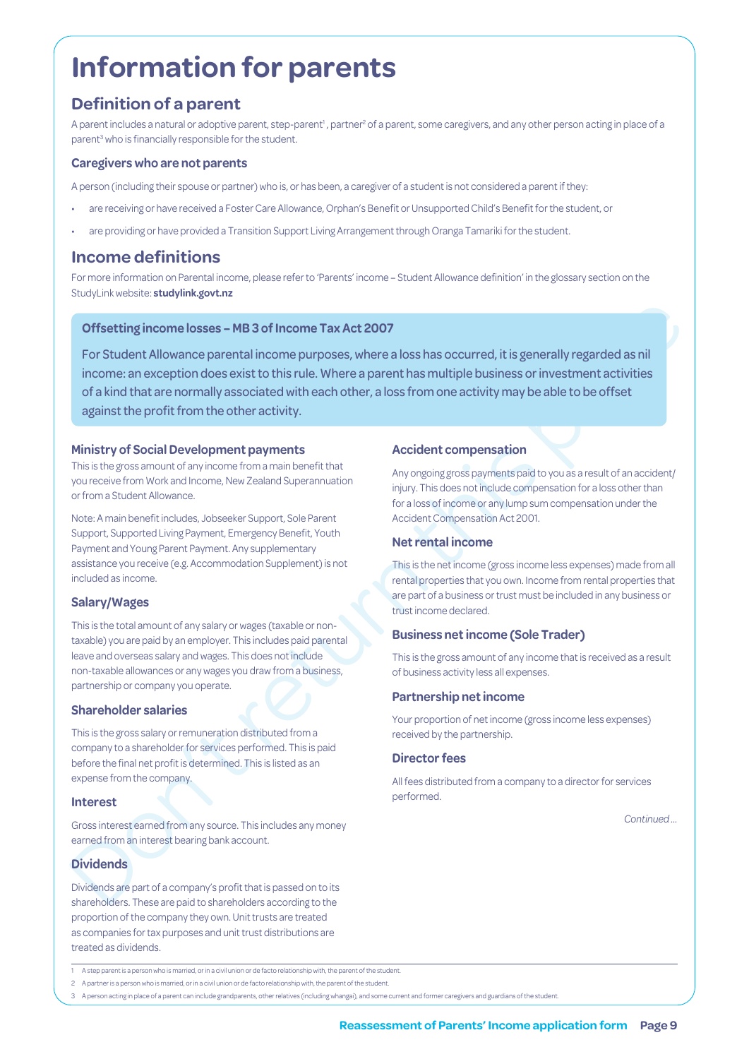# **Information for parents**

## **Definition of a parent**

A parent includes a natural or adoptive parent, step-parent<sup>1</sup>, partner<sup>2</sup> of a parent, some caregivers, and any other person acting in place of a parent<sup>3</sup> who is financially responsible for the student.

#### **Caregivers who are not parents**

A person (including their spouse or partner) who is, or has been, a caregiver of a student is not considered a parent if they:

- are receiving or have received a Foster Care Allowance, Orphan's Benefit or Unsupported Child's Benefit for the student, or
- are providing or have provided a Transition Support Living Arrangement through Oranga Tamariki for the student.

## **Income definitions**

For more information on Parental income, please refer to 'Parents' income – Student Allowance definition' in the glossary section on the StudyLink website: **[studylink.govt.nz](http://www.studylink.govt.nz)**

#### **Offsetting income losses – MB 3 of Income Tax Act 2007**

**Offsetting income losses – MB 3 of Income Tax Act 2007**<br>
For Student Allowance parental income purposes, where a loss has occurred, it is generally regarded as nil<br>
income an exception does seize to tothis nule. Where a For Student Allowance parental income purposes, where a loss has occurred, it is generally regarded as nil income: an exception does exist to this rule. Where a parent has multiple business or investment activities of a kind that are normally associated with each other, a loss from one activity may be able to be offset against the profit from the other activity.

#### **Ministry of Social Development payments**

This is the gross amount of any income from a main benefit that you receive from Work and Income, New Zealand Superannuation or from a Student Allowance.

Note: A main benefit includes, Jobseeker Support, Sole Parent Support, Supported Living Payment, Emergency Benefit, Youth Payment and Young Parent Payment. Any supplementary assistance you receive (e.g. Accommodation Supplement) is not included as income.

#### **Salary/Wages**

This is the total amount of any salary or wages (taxable or nontaxable) you are paid by an employer. This includes paid parental leave and overseas salary and wages. This does not include non-taxable allowances or any wages you draw from a business, partnership or company you operate.

#### **Shareholder salaries**

This is the gross salary or remuneration distributed from a company to a shareholder for services performed. This is paid before the final net profit is determined. This is listed as an expense from the company.

#### **Interest**

Gross interest earned from any source. This includes any money earned from an interest bearing bank account.

#### **Dividends**

Dividends are part of a company's profit that is passed on to its shareholders. These are paid to shareholders according to the proportion of the company they own. Unit trusts are treated as companies for tax purposes and unit trust distributions are treated as dividends.

#### **Accident compensation**

Any ongoing gross payments paid to you as a result of an accident/ injury. This does not include compensation for a loss other than for a loss of income or any lump sum compensation under the Accident Compensation Act 2001.

#### **Net rental income**

This is the net income (gross income less expenses) made from all rental properties that you own. Income from rental properties that are part of a business or trust must be included in any business or trust income declared.

#### **Business net income (Sole Trader)**

This is the gross amount of any income that is received as a result of business activity less all expenses.

#### **Partnership net income**

Your proportion of net income (gross income less expenses) received by the partnership.

#### **Director fees**

All fees distributed from a company to a director for services performed.

*Continued …*

3 A person acting in place of a parent can include grandparents, other relatives (including whangai), and some current and former caregivers and guardians of the student.

<sup>1</sup> A step parent is a person who is married, or in a civil union or de facto relationship with, the parent of the student

<sup>2</sup> A partner is a person who is married, or in a civil union or de facto relationship with, the parent of the student.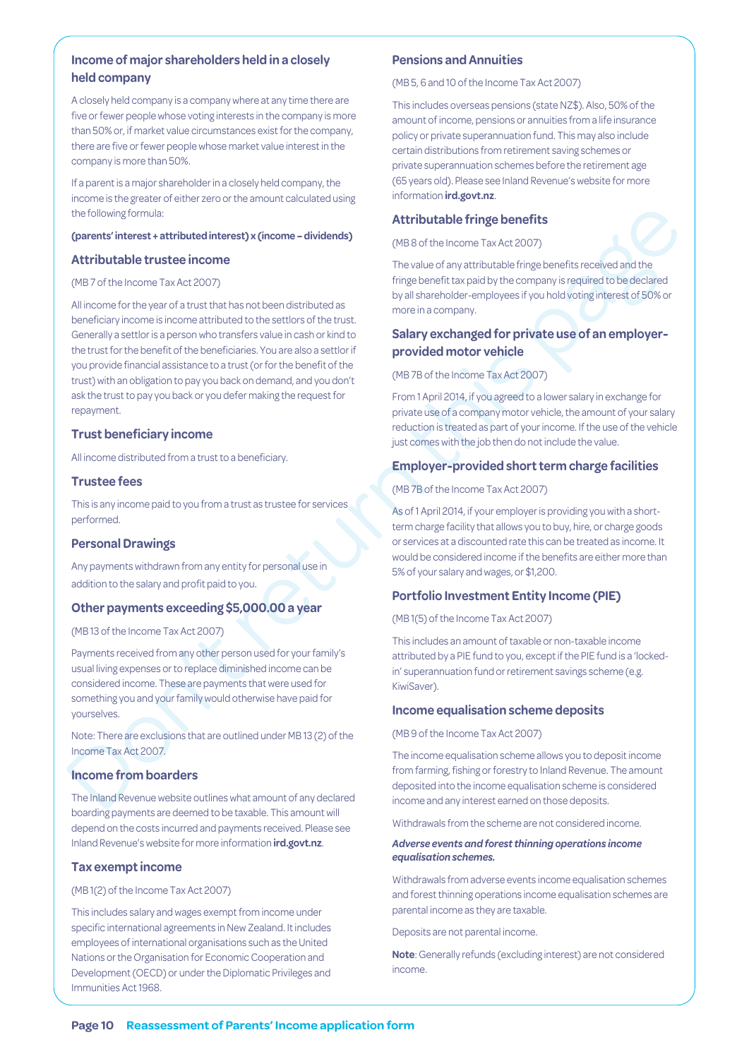#### **Income of major shareholders held in a closely held company**

A closely held company is a company where at any time there are five or fewer people whose voting interests in the company is more than 50% or, if market value circumstances exist for the company, there are five or fewer people whose market value interest in the company is more than 50%.

If a parent is a major shareholder in a closely held company, the income is the greater of either zero or the amount calculated using the following formula:

#### **(parents' interest + attributed interest) x (income – dividends)**

#### **Attributable trustee income**

#### (MB 7 of the Income Tax Act 2007)

the following formula:<br> **Attributable fringe benefits**<br> **Conserts interest attributable fringe benefits (2027)**<br> **Conserts in the fringe benefits (2027)**<br> **Conserts in the fringe benefits (2027)**<br> **Conserts in the fringe** All income for the year of a trust that has not been distributed as beneficiary income is income attributed to the settlors of the trust. Generally a settlor is a person who transfers value in cash or kind to the trust for the benefit of the beneficiaries. You are also a settlor if you provide financial assistance to a trust (or for the benefit of the trust) with an obligation to pay you back on demand, and you don't ask the trust to pay you back or you defer making the request for repayment.

#### **Trust beneficiary income**

All income distributed from a trust to a beneficiary.

#### **Trustee fees**

This is any income paid to you from a trust as trustee for services performed.

#### **Personal Drawings**

Any payments withdrawn from any entity for personal use in addition to the salary and profit paid to you.

#### **Other payments exceeding \$5,000.00 a year**

(MB 13 of the Income Tax Act 2007)

Payments received from any other person used for your family's usual living expenses or to replace diminished income can be considered income. These are payments that were used for something you and your family would otherwise have paid for yourselves.

Note: There are exclusions that are outlined under MB 13 (2) of the Income Tax Act 2007.

#### **Income from boarders**

The Inland Revenue website outlines what amount of any declared boarding payments are deemed to be taxable. This amount will depend on the costs incurred and payments received. Please see Inland Revenue's website for more information **ird.govt.nz**.

#### **Tax exempt income**

#### (MB 1(2) of the Income Tax Act 2007)

This includes salary and wages exempt from income under specific international agreements in New Zealand. It includes employees of international organisations such as the United Nations or the Organisation for Economic Cooperation and Development (OECD) or under the Diplomatic Privileges and Immunities Act 1968.

#### **Pensions and Annuities**

(MB 5, 6 and 10 of the Income Tax Act 2007)

This includes overseas pensions (state NZ\$). Also, 50% of the amount of income, pensions or annuities from a life insurance policy or private superannuation fund. This may also include certain distributions from retirement saving schemes or private superannuation schemes before the retirement age (65 years old). Please see Inland Revenue's website for more information **ird.govt.nz**.

#### **Attributable fringe benefits**

(MB 8 of the Income Tax Act 2007)

The value of any attributable fringe benefits received and the fringe benefit tax paid by the company is required to be declared by all shareholder-employees if you hold voting interest of 50% or more in a company.

#### **Salary exchanged for private use of an employerprovided motor vehicle**

(MB 7B of the Income Tax Act 2007)

From 1 April 2014, if you agreed to a lower salary in exchange for private use of a company motor vehicle, the amount of your salary reduction is treated as part of your income. If the use of the vehicle just comes with the job then do not include the value.

#### **Employer-provided short term charge facilities**

(MB 7B of the Income Tax Act 2007)

As of 1 April 2014, if your employer is providing you with a shortterm charge facility that allows you to buy, hire, or charge goods or services at a discounted rate this can be treated as income. It would be considered income if the benefits are either more than 5% of your salary and wages, or \$1,200.

#### **Portfolio Investment Entity Income (PIE)**

(MB 1(5) of the Income Tax Act 2007)

This includes an amount of taxable or non-taxable income attributed by a PIE fund to you, except if the PIE fund is a 'lockedin' superannuation fund or retirement savings scheme (e.g. KiwiSaver).

#### **Income equalisation scheme deposits**

(MB 9 of the Income Tax Act 2007)

The income equalisation scheme allows you to deposit income from farming, fishing or forestry to Inland Revenue. The amount deposited into the income equalisation scheme is considered income and any interest earned on those deposits.

Withdrawals from the scheme are not considered income.

#### *Adverse events and forest thinning operations income equalisation schemes.*

Withdrawals from adverse events income equalisation schemes and forest thinning operations income equalisation schemes are parental income as they are taxable.

Deposits are not parental income.

**Note**: Generally refunds (excluding interest) are not considered income.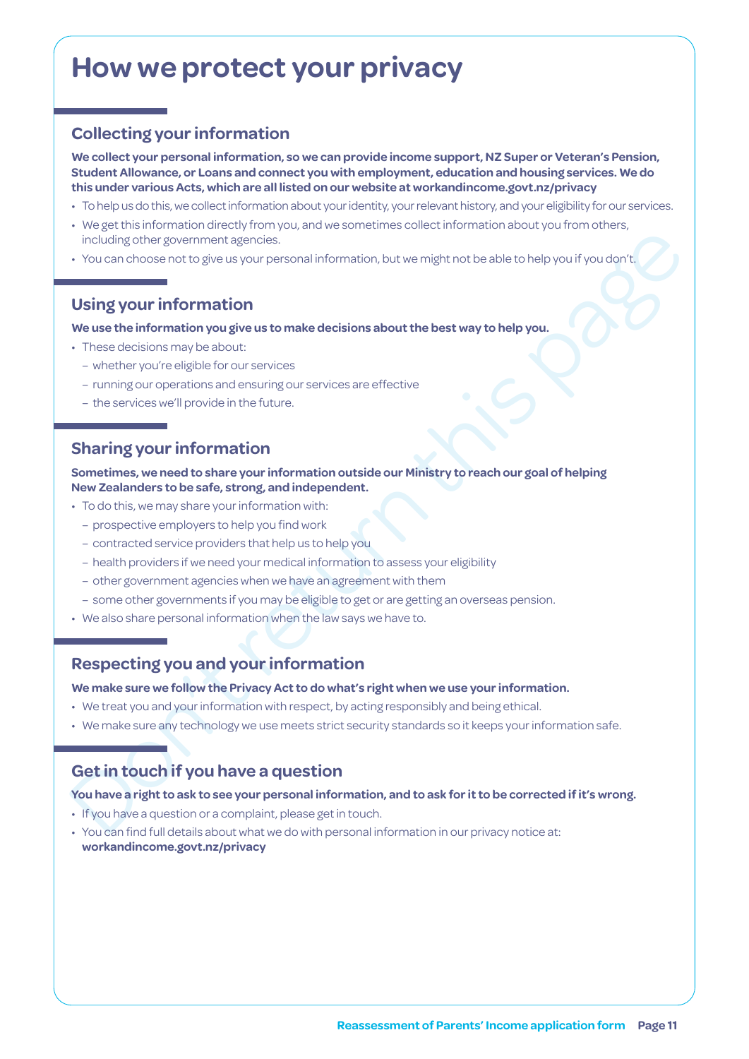# **How we protect your privacy**

## **Collecting your information**

**We collect your personal information, so we can provide income support, NZ Super or Veteran's Pension, Student Allowance, or Loans and connect you with employment, education and housing services. We do this under various Acts, which are all listed on our website at [workandincome.govt.nz/p](http://www.workandincome.govt.nz/about-work-and-income/privacy-notice/index.html)rivacy**

- To help us do this, we collect information about your identity, your relevant history, and your eligibility for our services.
- We get this information directly from you, and we sometimes collect information about you from others, including other government agencies.
- You can choose not to give us your personal information, but we might not be able to help you if you don't.

### **Using your information**

#### **We use the information you give us to make decisions about the best way to help you.**

- These decisions may be about:
	- whether you're eligible for our services
	- running our operations and ensuring our services are effective
	- the services we'll provide in the future.

### **Sharing your information**

including other government agencies.<br>
• You can choose not to give us your personal information, but we might not be able to help you if you don't<br>
Using your information you give us to make decisions about the best way to **Sometimes, we need to share your information outside our Ministry to reach our goal of helping New Zealanders to be safe, strong, and independent.**

- To do this, we may share your information with:
	- prospective employers to help you find work
	- contracted service providers that help us to help you
	- health providers if we need your medical information to assess your eligibility
	- other government agencies when we have an agreement with them
	- some other governments if you may be eligible to get or are getting an overseas pension.
- We also share personal information when the law says we have to.

### **Respecting you and your information**

**We make sure we follow the Privacy Act to do what's right when we use your information.**

- We treat you and your information with respect, by acting responsibly and being ethical.
- We make sure any technology we use meets strict security standards so it keeps your information safe.

### **Get in touch if you have a question**

#### **You have a right to ask to see your personal information, and to ask for it to be corrected if it's wrong.**

- If you have a question or a complaint, please get in touch.
- You can find full details about what we do with personal information in our privacy notice at: **[workandincome.govt.nz/p](http://www.workandincome.govt.nz/about-work-and-income/privacy-notice/index.html)rivacy**